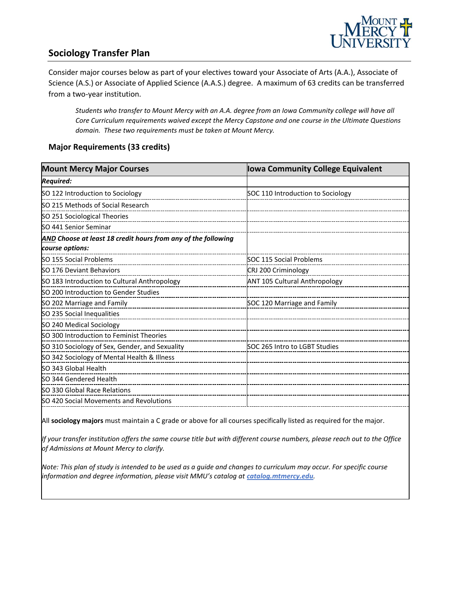

## **Sociology Transfer Plan**

Consider major courses below as part of your electives toward your Associate of Arts (A.A.), Associate of Science (A.S.) or Associate of Applied Science (A.A.S.) degree. A maximum of 63 credits can be transferred from a two-year institution.

*Students who transfer to Mount Mercy with an A.A. degree from an Iowa Community college will have all Core Curriculum requirements waived except the Mercy Capstone and one course in the Ultimate Questions domain. These two requirements must be taken at Mount Mercy.*

#### **Major Requirements (33 credits)**

| <b>Iowa Community College Equivalent</b> |
|------------------------------------------|
|                                          |
| SOC 110 Introduction to Sociology        |
|                                          |
|                                          |
|                                          |
|                                          |
|                                          |
| SOC 115 Social Problems                  |
| CRJ 200 Criminology                      |
| <b>ANT 105 Cultural Anthropology</b>     |
|                                          |
| SOC 120 Marriage and Family              |
|                                          |
|                                          |
|                                          |
| SOC 265 Intro to LGBT Studies            |
|                                          |
|                                          |
|                                          |
|                                          |
|                                          |
|                                          |

All **sociology majors** must maintain a C grade or above for all courses specifically listed as required for the major.

*If your transfer institution offers the same course title but with different course numbers, please reach out to the Office of Admissions at Mount Mercy to clarify.*

*Note: This plan of study is intended to be used as a guide and changes to curriculum may occur. For specific course information and degree information, please visit MMU's catalog at catalog.mtmercy.edu.*